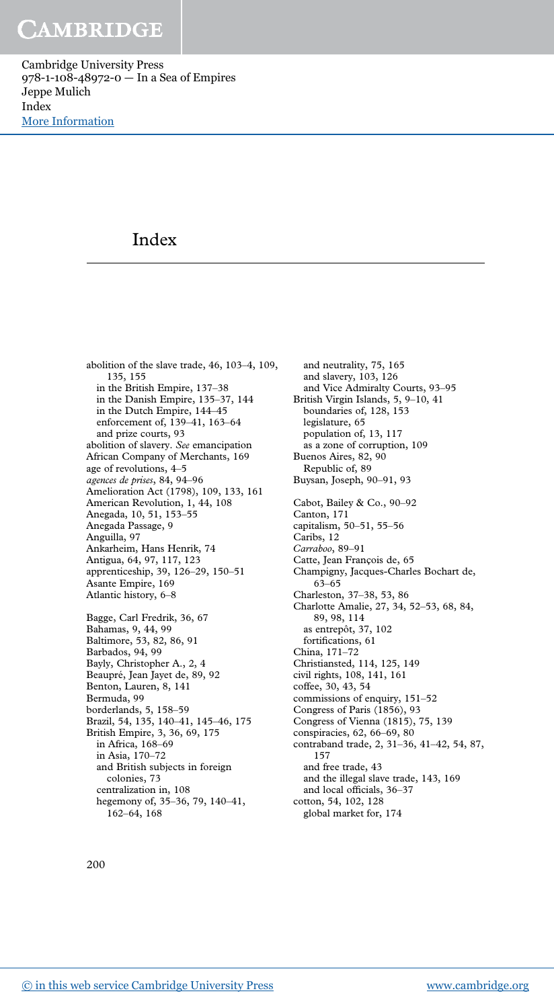Cambridge University Press 978-1-108-48972-0 — In a Sea of Empires Jeppe Mulich Index [More Information](www.cambridge.org/9781108489720)

### Index

abolition of the slave trade, 46, 103–4, 109, 135, 155 in the British Empire, 137–38 in the Danish Empire, 135–37, 144 in the Dutch Empire, 144–45 enforcement of, 139–41, 163–64 and prize courts, 93 abolition of slavery. *See* emancipation African Company of Merchants, 169 age of revolutions, 4–5 *agences de prises*, 84, 94–96 Amelioration Act (1798), 109, 133, 161 American Revolution, 1, 44, 108 Anegada, 10, 51, 153–55 Anegada Passage, 9 Anguilla, 97 Ankarheim, Hans Henrik, 74 Antigua, 64, 97, 117, 123 apprenticeship, 39, 126–29, 150–51 Asante Empire, 169 Atlantic history, 6–8 Bagge, Carl Fredrik, 36, 67 Bahamas, 9, 44, 99 Baltimore, 53, 82, 86, 91 Barbados, 94, 99 Bayly, Christopher A., 2, 4 Beaupré, Jean Jayet de, 89, 92 Benton, Lauren, 8, 141 Bermuda, 99 borderlands, 5, 158–59 Brazil, 54, 135, 140–41, 145–46, 175 British Empire, 3, 36, 69, 175 in Africa, 168–69 in Asia, 170–72 and British subjects in foreign colonies, 73

and neutrality, 75, 165 and slavery, 103, 126 and Vice Admiralty Courts, 93–95 British Virgin Islands, 5, 9–10, 41 boundaries of, 128, 153 legislature, 65 population of, 13, 117 as a zone of corruption, 109 Buenos Aires, 82, 90 Republic of, 89 Buysan, Joseph, 90–91, 93 Cabot, Bailey & Co., 90–92 Canton, 171 capitalism, 50–51, 55–56 Caribs, 12 *Carraboo*, 89–91 Catte, Jean François de, 65 Champigny, Jacques-Charles Bochart de, 63–65 Charleston, 37–38, 53, 86 Charlotte Amalie, 27, 34, 52–53, 68, 84, 89, 98, 114 as entrepôt, 37, 102 fortifications, 61 China, 171–72 Christiansted, 114, 125, 149 civil rights, 108, 141, 161 coffee, 30, 43, 54 commissions of enquiry, 151–52 Congress of Paris (1856), 93 Congress of Vienna (1815), 75, 139 conspiracies, 62, 66–69, 80 contraband trade, 2, 31–36, 41–42, 54, 87, 157 and free trade, 43 and the illegal slave trade, 143, 169 and local officials, 36–37 cotton, 54, 102, 128 global market for, 174

200

centralization in, 108

162–64, 168

hegemony of, 35–36, 79, 140–41,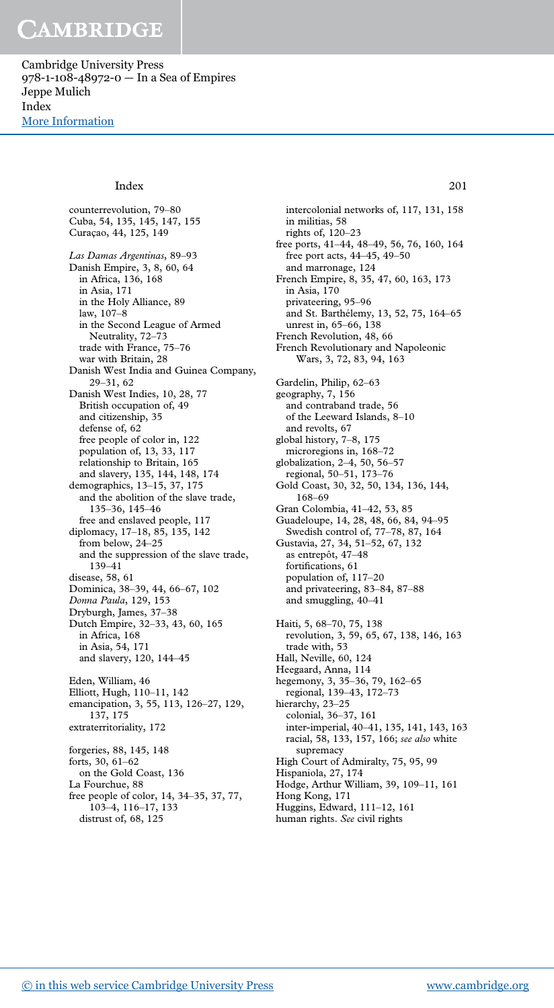Cambridge University Press 978-1-108-48972-0 — In a Sea of Empires Jeppe Mulich Index [More Information](www.cambridge.org/9781108489720)

### Index 201

counterrevolution, 79–80 Cuba, 54, 135, 145, 147, 155 Curaçao, 44, 125, 149 *Las Damas Argentinas*, 89–93 Danish Empire, 3, 8, 60, 64 in Africa, 136, 168 in Asia, 171 in the Holy Alliance, 89 law, 107–8 in the Second League of Armed Neutrality, 72–73 trade with France, 75–76 war with Britain, 28 Danish West India and Guinea Company, 29–31, 62 Danish West Indies, 10, 28, 77 British occupation of, 49 and citizenship, 35 defense of, 62 free people of color in, 122 population of, 13, 33, 117 relationship to Britain, 165 and slavery, 135, 144, 148, 174 demographics, 13–15, 37, 175 and the abolition of the slave trade, 135–36, 145–46 free and enslaved people, 117 diplomacy, 17–18, 85, 135, 142 from below, 24–25 and the suppression of the slave trade, 139–41 disease, 58, 61 Dominica, 38–39, 44, 66–67, 102 *Donna Paula*, 129, 153 Dryburgh, James, 37–38 Dutch Empire, 32–33, 43, 60, 165 in Africa, 168 in Asia, 54, 171 and slavery, 120, 144–45 Eden, William, 46 Elliott, Hugh, 110–11, 142 emancipation, 3, 55, 113, 126–27, 129, 137, 175 extraterritoriality, 172 forgeries, 88, 145, 148 forts, 30, 61–62 on the Gold Coast, 136 La Fourchue, 88 free people of color, 14, 34–35, 37, 77,

intercolonial networks of, 117, 131, 158 in militias, 58 rights of, 120–23 free ports, 41–44, 48–49, 56, 76, 160, 164 free port acts, 44–45, 49–50 and marronage, 124 French Empire, 8, 35, 47, 60, 163, 173 in Asia, 170 privateering, 95–96 and St. Barthélemy, 13, 52, 75, 164–65 unrest in, 65–66, 138 French Revolution, 48, 66 French Revolutionary and Napoleonic Wars, 3, 72, 83, 94, 163 Gardelin, Philip, 62–63 geography, 7, 156 and contraband trade, 56 of the Leeward Islands, 8–10 and revolts, 67 global history, 7–8, 175 microregions in, 168–72 globalization, 2–4, 50, 56–57 regional, 50–51, 173–76 Gold Coast, 30, 32, 50, 134, 136, 144, 168–69 Gran Colombia, 41–42, 53, 85 Guadeloupe, 14, 28, 48, 66, 84, 94–95 Swedish control of, 77–78, 87, 164 Gustavia, 27, 34, 51–52, 67, 132 as entrepôt, 47–48 fortifications, 61 population of, 117–20 and privateering, 83–84, 87–88 and smuggling, 40–41 Haiti, 5, 68–70, 75, 138 revolution, 3, 59, 65, 67, 138, 146, 163 trade with, 53 Hall, Neville, 60, 124 Heegaard, Anna, 114 hegemony, 3, 35–36, 79, 162–65 regional, 139–43, 172–73 hierarchy, 23–25 colonial, 36–37, 161 inter-imperial, 40–41, 135, 141, 143, 163 racial, 58, 133, 157, 166; *see also* white supremacy High Court of Admiralty, 75, 95, 99 Hispaniola, 27, 174 Hodge, Arthur William, 39, 109–11, 161 Hong Kong, 171 Huggins, Edward, 111–12, 161 human rights. *See* civil rights

103–4, 116–17, 133 distrust of, 68, 125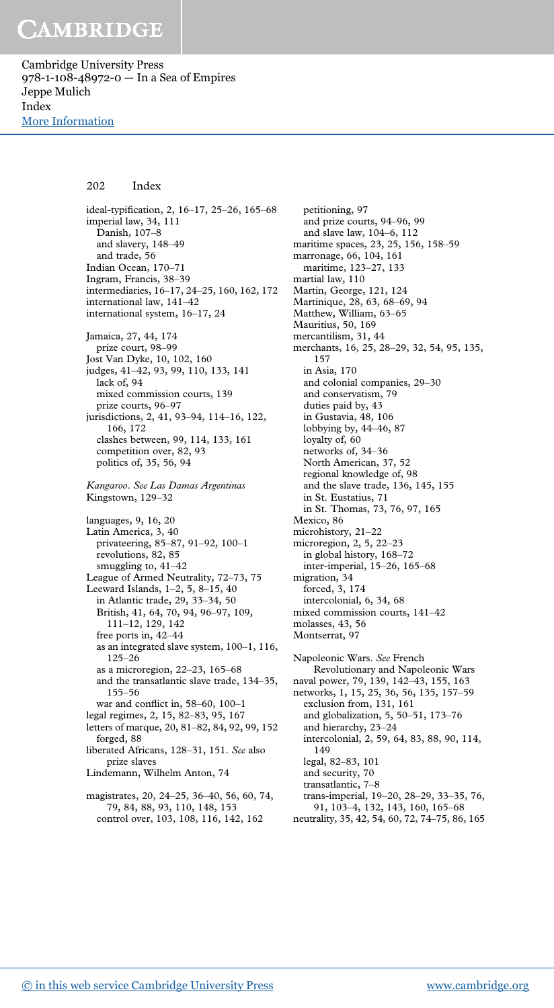Cambridge University Press 978-1-108-48972-0 — In a Sea of Empires Jeppe Mulich Index [More Information](www.cambridge.org/9781108489720)

### 202 Index

ideal-typification, 2, 16–17, 25–26, 165–68 imperial law, 34, 111 Danish, 107–8 and slavery, 148–49 and trade, 56 Indian Ocean, 170–71 Ingram, Francis, 38–39 intermediaries, 16–17, 24–25, 160, 162, 172 international law, 141–42 international system, 16–17, 24 Jamaica, 27, 44, 174 prize court, 98–99 Jost Van Dyke, 10, 102, 160 judges, 41–42, 93, 99, 110, 133, 141 lack of, 94 mixed commission courts, 139 prize courts, 96–97 jurisdictions, 2, 41, 93–94, 114–16, 122, 166, 172 clashes between, 99, 114, 133, 161 competition over, 82, 93 politics of, 35, 56, 94 *Kangaroo*. *See Las Damas Argentinas* Kingstown, 129–32 languages, 9, 16, 20 Latin America, 3, 40 privateering, 85–87, 91–92, 100–1 revolutions, 82, 85 smuggling to, 41–42 League of Armed Neutrality, 72–73, 75 Leeward Islands, 1–2, 5, 8–15, 40 in Atlantic trade, 29, 33–34, 50 British, 41, 64, 70, 94, 96–97, 109, 111–12, 129, 142 free ports in, 42–44 as an integrated slave system, 100–1, 116, 125–26 as a microregion, 22–23, 165–68 and the transatlantic slave trade, 134–35, 155–56 war and conflict in, 58–60, 100–1 legal regimes, 2, 15, 82–83, 95, 167 letters of marque, 20, 81–82, 84, 92, 99, 152 forged, 88 liberated Africans, 128–31, 151. *See* also prize slaves Lindemann, Wilhelm Anton, 74 magistrates, 20, 24–25, 36–40, 56, 60, 74,

petitioning, 97 and prize courts, 94–96, 99 and slave law, 104–6, 112 maritime spaces, 23, 25, 156, 158–59 marronage, 66, 104, 161 maritime, 123–27, 133 martial law, 110 Martin, George, 121, 124 Martinique, 28, 63, 68–69, 94 Matthew, William, 63–65 Mauritius, 50, 169 mercantilism, 31, 44 merchants, 16, 25, 28–29, 32, 54, 95, 135, 157 in Asia, 170 and colonial companies, 29–30 and conservatism, 79 duties paid by, 43 in Gustavia, 48, 106 lobbying by, 44–46, 87 loyalty of, 60 networks of, 34–36 North American, 37, 52 regional knowledge of, 98 and the slave trade, 136, 145, 155 in St. Eustatius, 71 in St. Thomas, 73, 76, 97, 165 Mexico, 86 microhistory, 21–22 microregion, 2, 5, 22–23 in global history, 168–72 inter-imperial, 15–26, 165–68 migration, 34 forced, 3, 174 intercolonial, 6, 34, 68 mixed commission courts, 141–42 molasses, 43, 56 Montserrat, 97 Napoleonic Wars. *See* French Revolutionary and Napoleonic Wars naval power, 79, 139, 142–43, 155, 163 networks, 1, 15, 25, 36, 56, 135, 157–59 exclusion from, 131, 161 and globalization, 5, 50–51, 173–76 and hierarchy, 23–24 intercolonial, 2, 59, 64, 83, 88, 90, 114, 149 legal, 82–83, 101

and security, 70 transatlantic, 7–8

- trans-imperial, 19–20, 28–29, 33–35, 76, 91, 103–4, 132, 143, 160, 165–68
- neutrality, 35, 42, 54, 60, 72, 74–75, 86, 165

79, 84, 88, 93, 110, 148, 153 control over, 103, 108, 116, 142, 162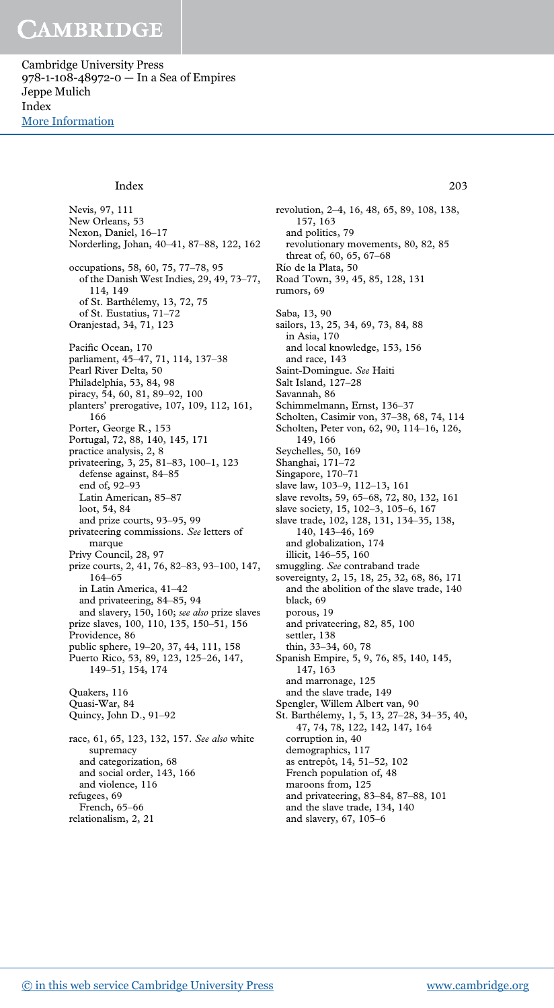Cambridge University Press 978-1-108-48972-0 — In a Sea of Empires Jeppe Mulich Index [More Information](www.cambridge.org/9781108489720)

#### Index 203

Nevis, 97, 111 New Orleans, 53 Nexon, Daniel, 16–17 Norderling, Johan, 40–41, 87–88, 122, 162 occupations, 58, 60, 75, 77–78, 95 of the Danish West Indies, 29, 49, 73–77, 114, 149 of St. Barthélemy, 13, 72, 75 of St. Eustatius, 71–72 Oranjestad, 34, 71, 123 Pacific Ocean, 170 parliament, 45–47, 71, 114, 137–38 Pearl River Delta, 50 Philadelphia, 53, 84, 98 piracy, 54, 60, 81, 89–92, 100 planters' prerogative, 107, 109, 112, 161, 166 Porter, George R., 153 Portugal, 72, 88, 140, 145, 171 practice analysis, 2, 8 privateering, 3, 25, 81–83, 100–1, 123 defense against, 84–85 end of, 92–93 Latin American, 85–87 loot, 54, 84 and prize courts, 93–95, 99 privateering commissions. *See* letters of marque Privy Council, 28, 97 prize courts, 2, 41, 76, 82–83, 93–100, 147, 164–65 in Latin America, 41–42 and privateering, 84–85, 94 and slavery, 150, 160; *see also* prize slaves prize slaves, 100, 110, 135, 150–51, 156 Providence, 86 public sphere, 19–20, 37, 44, 111, 158 Puerto Rico, 53, 89, 123, 125–26, 147, 149–51, 154, 174 Quakers, 116 Quasi-War, 84 Quincy, John D., 91–92 race, 61, 65, 123, 132, 157. *See also* white supremacy and categorization, 68 and social order, 143, 166 and violence, 116

revolutionary movements, 80, 82, 85 threat of, 60, 65, 67–68 Río de la Plata, 50 Road Town, 39, 45, 85, 128, 131 rumors, 69 Saba, 13, 90 sailors, 13, 25, 34, 69, 73, 84, 88 in Asia, 170 and local knowledge, 153, 156 and race, 143 Saint-Domingue. *See* Haiti Salt Island, 127–28 Savannah, 86 Schimmelmann, Ernst, 136–37 Scholten, Casimir von, 37–38, 68, 74, 114 Scholten, Peter von, 62, 90, 114–16, 126, 149, 166 Seychelles, 50, 169 Shanghai, 171–72 Singapore, 170–71 slave law, 103–9, 112–13, 161 slave revolts, 59, 65–68, 72, 80, 132, 161 slave society, 15, 102–3, 105–6, 167 slave trade, 102, 128, 131, 134–35, 138, 140, 143–46, 169 and globalization, 174 illicit, 146–55, 160 smuggling. *See* contraband trade sovereignty, 2, 15, 18, 25, 32, 68, 86, 171 and the abolition of the slave trade, 140 black, 69 porous, 19 and privateering, 82, 85, 100 settler, 138 thin, 33–34, 60, 78 Spanish Empire, 5, 9, 76, 85, 140, 145, 147, 163 and marronage, 125 and the slave trade, 149 Spengler, Willem Albert van, 90 St. Barthélemy, 1, 5, 13, 27–28, 34–35, 40, 47, 74, 78, 122, 142, 147, 164 corruption in, 40 demographics, 117 as entrepôt, 14, 51–52, 102 French population of, 48 maroons from, 125 and privateering, 83–84, 87–88, 101 and the slave trade, 134, 140

revolution, 2–4, 16, 48, 65, 89, 108, 138,

157, 163 and politics, 79

and slavery, 67, 105–6

refugees, 69 French, 65–66 relationalism, 2, 21